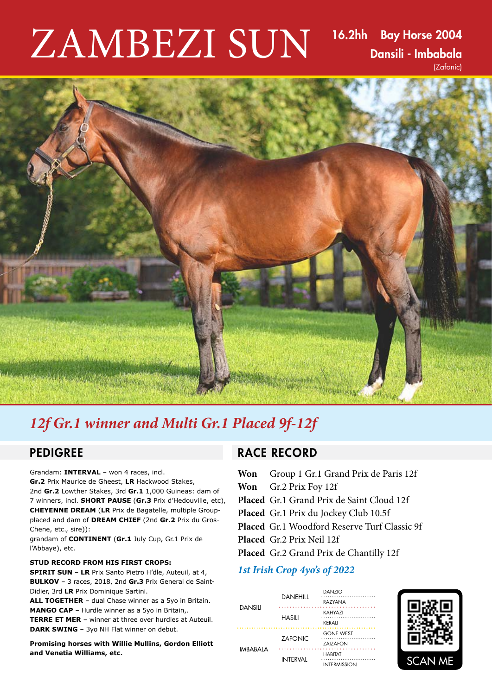# ZAMBEZI SUN

16.2hh Bay Horse 2004 Dansili - Imbabala (Zafonic)



# *12f Gr.1 winner and Multi Gr.1 Placed 9f-12f*

Grandam: **INTERVAL** – won 4 races, incl. **Gr.2** Prix Maurice de Gheest, **LR** Hackwood Stakes, 2nd **Gr.2** Lowther Stakes, 3rd **Gr.1** 1,000 Guineas: dam of 7 winners, incl. **SHORT PAUSE** (**Gr.3** Prix d'Hedouville, etc), **CHEYENNE DREAM** (**LR** Prix de Bagatelle, multiple Groupplaced and dam of **DREAM CHIEF** (2nd **Gr.2** Prix du Gros-Chene, etc., sire)):

grandam of **CONTINENT** (**Gr.1** July Cup, Gr.1 Prix de l'Abbaye), etc.

#### **STUD RECORD FROM HIS FIRST CROPS:**

**SPIRIT SUN** – **LR** Prix Santo Pietro H'dle, Auteuil, at 4, **BULKOV** – 3 races, 2018, 2nd **Gr.3** Prix General de Saint-Didier, 3rd **LR** Prix Dominique Sartini.

**ALL TOGETHER** – dual Chase winner as a 5yo in Britain. **MANGO CAP** – Hurdle winner as a 5yo in Britain,. **TERRE ET MER** – winner at three over hurdles at Auteuil. **DARK SWING** – 3yo NH Flat winner on debut.

**Promising horses with Willie Mullins, Gordon Elliott and Venetia Williams, etc.**

# PEDIGREE RACE RECORD

**Won** Group 1 Gr.1 Grand Prix de Paris 12f **Won** Gr.2 Prix Foy 12f **Placed** Gr.1 Grand Prix de Saint Cloud 12f **Placed** Gr.1 Prix du Jockey Club 10.5f **Placed** Gr.1 Woodford Reserve Turf Classic 9f **Placed** Gr.2 Prix Neil 12f **Placed** Gr.2 Grand Prix de Chantilly 12f

### *1st Irish Crop 4yo's of 2022*

| DANSILI   | DANEHILL        | <b>DANZIG</b><br>RAZYANA              |
|-----------|-----------------|---------------------------------------|
|           | HASILI          | KAHYAZI<br>KERALI                     |
| IMBABAI A | <b>ZAFONIC</b>  | <b>GONE WEST</b><br>ZAIZAFON          |
|           | <b>INTERVAL</b> | <b>HABITAT</b><br><b>INTERMISSION</b> |